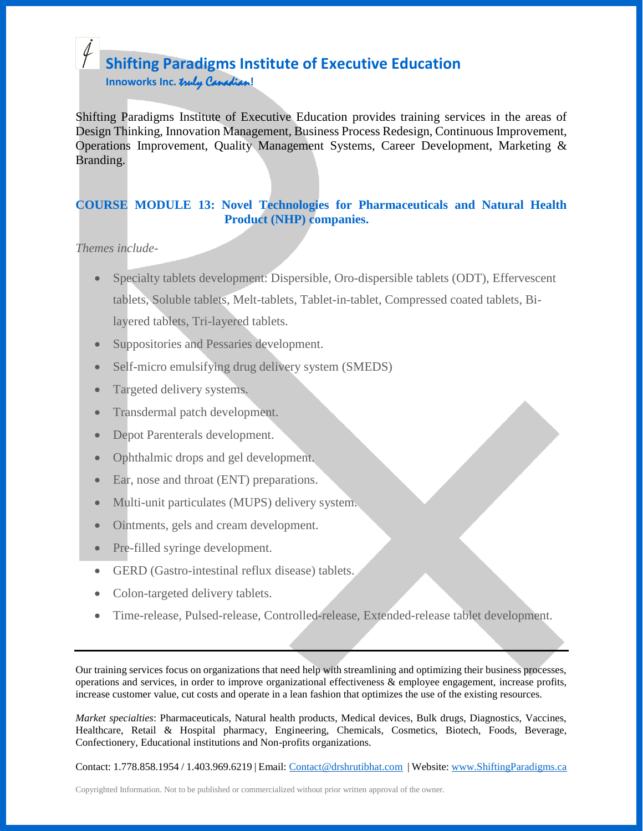## **Shifting Paradigms Institute of Executive Education Innoworks Inc.** truly Canadian**!**

Shifting Paradigms Institute of Executive Education provides training services in the areas of Design Thinking, Innovation Management, Business Process Redesign, Continuous Improvement, Operations Improvement, Quality Management Systems, Career Development, Marketing & Branding.

### **COURSE MODULE 13: Novel Technologies for Pharmaceuticals and Natural Health Product (NHP) companies.**

*Themes include-*

- Specialty tablets development: Dispersible, Oro-dispersible tablets (ODT), Effervescent tablets, Soluble tablets, Melt-tablets, Tablet-in-tablet, Compressed coated tablets, Bilayered tablets, Tri-layered tablets.
- Suppositories and Pessaries development.
- Self-micro emulsifying drug delivery system (SMEDS)
- Targeted delivery systems.
- Transdermal patch development.
- Depot Parenterals development.
- Ophthalmic drops and gel development.
- Ear, nose and throat (ENT) preparations.
- Multi-unit particulates (MUPS) delivery system.
- Ointments, gels and cream development.
- Pre-filled syringe development.
- GERD (Gastro-intestinal reflux disease) tablets.
- Colon-targeted delivery tablets.
- Time-release, Pulsed-release, Controlled-release, Extended-release tablet development.

Our training services focus on organizations that need help with streamlining and optimizing their business processes, operations and services, in order to improve organizational effectiveness & employee engagement, increase profits, increase customer value, cut costs and operate in a lean fashion that optimizes the use of the existing resources.

*Market specialties*: Pharmaceuticals, Natural health products, Medical devices, Bulk drugs, Diagnostics, Vaccines, Healthcare, Retail & Hospital pharmacy, Engineering, Chemicals, Cosmetics, Biotech, Foods, Beverage, Confectionery, Educational institutions and Non-profits organizations.

Contact: 1.778.858.1954 / 1.403.969.6219 | Email: [Contact@drshrutibhat.com](mailto:Contact@drshrutibhat.com) | Website: [www.ShiftingParadigms.ca](http://www.shiftingparadigms.ca/)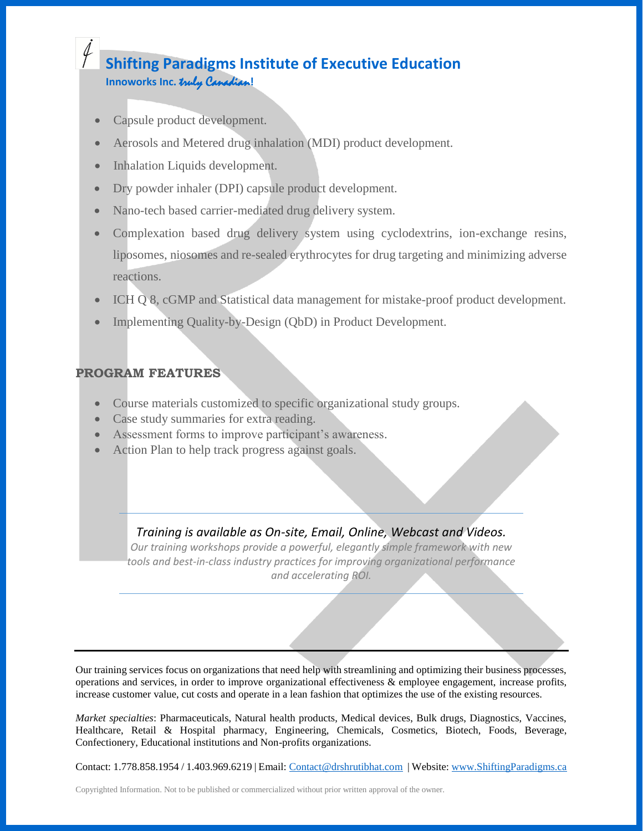# **Shifting Paradigms Institute of Executive Education Innoworks Inc.** truly Canadian**!**

- Capsule product development.
- Aerosols and Metered drug inhalation (MDI) product development.
- Inhalation Liquids development.
- Dry powder inhaler (DPI) capsule product development.
- Nano-tech based carrier-mediated drug delivery system.
- Complexation based drug delivery system using cyclodextrins, ion-exchange resins, liposomes, niosomes and re-sealed erythrocytes for drug targeting and minimizing adverse reactions.
- ICH Q 8, cGMP and Statistical data management for mistake-proof product development.
- Implementing Quality-by-Design (QbD) in Product Development.

#### **PROGRAM FEATURES**

- Course materials customized to specific organizational study groups.
- Case study summaries for extra reading.
- Assessment forms to improve participant's awareness.
- Action Plan to help track progress against goals.

## *Training is available as On-site, Email, Online, Webcast and Videos.*

*Our training workshops provide a powerful, elegantly simple framework with new tools and best-in-class industry practices for improving organizational performance and accelerating ROI.*

Our training services focus on organizations that need help with streamlining and optimizing their business processes, operations and services, in order to improve organizational effectiveness & employee engagement, increase profits, increase customer value, cut costs and operate in a lean fashion that optimizes the use of the existing resources.

*Market specialties*: Pharmaceuticals, Natural health products, Medical devices, Bulk drugs, Diagnostics, Vaccines, Healthcare, Retail & Hospital pharmacy, Engineering, Chemicals, Cosmetics, Biotech, Foods, Beverage, Confectionery, Educational institutions and Non-profits organizations.

Contact: 1.778.858.1954 / 1.403.969.6219 | Email: [Contact@drshrutibhat.com](mailto:Contact@drshrutibhat.com) | Website: [www.ShiftingParadigms.ca](http://www.shiftingparadigms.ca/)